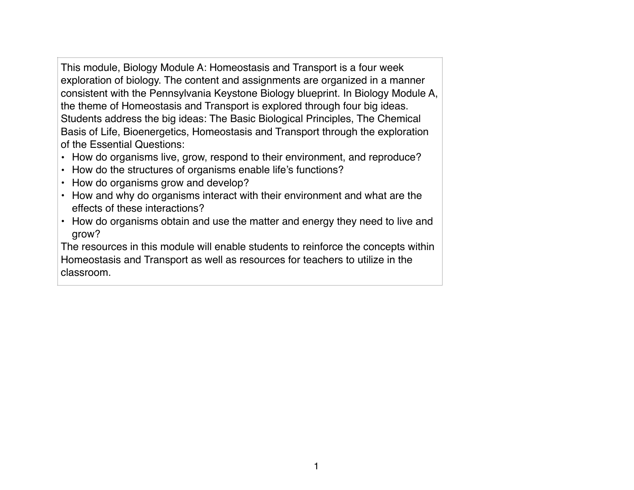This module, Biology Module A: Homeostasis and Transport is a four week exploration of biology. The content and assignments are organized in a manner consistent with the Pennsylvania Keystone Biology blueprint. In Biology Module A, the theme of Homeostasis and Transport is explored through four big ideas. Students address the big ideas: The Basic Biological Principles, The Chemical Basis of Life, Bioenergetics, Homeostasis and Transport through the exploration of the Essential Questions:

- How do organisms live, grow, respond to their environment, and reproduce?
- How do the structures of organisms enable life's functions?
- How do organisms grow and develop?
- How and why do organisms interact with their environment and what are the effects of these interactions?
- How do organisms obtain and use the matter and energy they need to live and grow?

The resources in this module will enable students to reinforce the concepts within Homeostasis and Transport as well as resources for teachers to utilize in the classroom.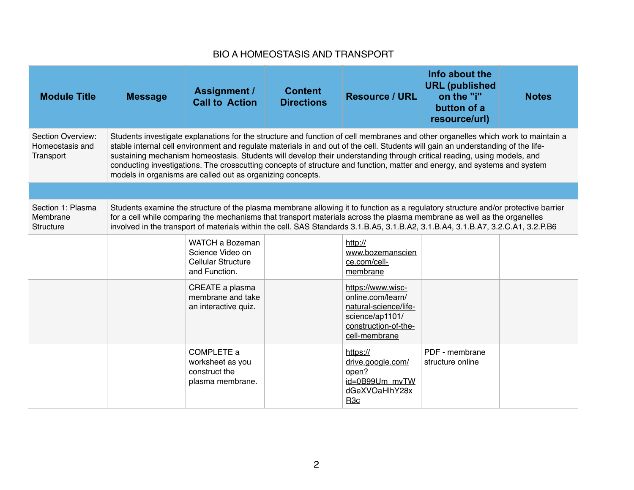## BIO A HOMEOSTASIS AND TRANSPORT

| <b>Module Title</b>                               | <b>Message</b> | <b>Assignment /</b><br><b>Call to Action</b>                                                                                                                                                                                                                                                                                                                                                                                                                                                                                                                                               | <b>Content</b><br><b>Directions</b> | <b>Resource / URL</b>                                                                                                       | Info about the<br><b>URL</b> (published<br>on the "i"<br>button of a<br>resource/url) | <b>Notes</b> |
|---------------------------------------------------|----------------|--------------------------------------------------------------------------------------------------------------------------------------------------------------------------------------------------------------------------------------------------------------------------------------------------------------------------------------------------------------------------------------------------------------------------------------------------------------------------------------------------------------------------------------------------------------------------------------------|-------------------------------------|-----------------------------------------------------------------------------------------------------------------------------|---------------------------------------------------------------------------------------|--------------|
| Section Overview:<br>Homeostasis and<br>Transport |                | Students investigate explanations for the structure and function of cell membranes and other organelles which work to maintain a<br>stable internal cell environment and regulate materials in and out of the cell. Students will gain an understanding of the life-<br>sustaining mechanism homeostasis. Students will develop their understanding through critical reading, using models, and<br>conducting investigations. The crosscutting concepts of structure and function, matter and energy, and systems and system<br>models in organisms are called out as organizing concepts. |                                     |                                                                                                                             |                                                                                       |              |
|                                                   |                |                                                                                                                                                                                                                                                                                                                                                                                                                                                                                                                                                                                            |                                     |                                                                                                                             |                                                                                       |              |
| Section 1: Plasma<br>Membrane<br><b>Structure</b> |                | Students examine the structure of the plasma membrane allowing it to function as a regulatory structure and/or protective barrier<br>for a cell while comparing the mechanisms that transport materials across the plasma membrane as well as the organelles<br>involved in the transport of materials within the cell. SAS Standards 3.1.B.A5, 3.1.B.A2, 3.1.B.A4, 3.1.B.A7, 3.2.C.A1, 3.2.P.B6                                                                                                                                                                                           |                                     |                                                                                                                             |                                                                                       |              |
|                                                   |                | <b>WATCH a Bozeman</b><br>Science Video on<br>Cellular Structure<br>and Function.                                                                                                                                                                                                                                                                                                                                                                                                                                                                                                          |                                     | http://<br>www.bozemanscien<br>ce.com/cell-<br>membrane                                                                     |                                                                                       |              |
|                                                   |                | CREATE a plasma<br>membrane and take<br>an interactive quiz.                                                                                                                                                                                                                                                                                                                                                                                                                                                                                                                               |                                     | https://www.wisc-<br>online.com/learn/<br>natural-science/life-<br>science/ap1101/<br>construction-of-the-<br>cell-membrane |                                                                                       |              |
|                                                   |                | COMPLETE a<br>worksheet as you<br>construct the<br>plasma membrane.                                                                                                                                                                                                                                                                                                                                                                                                                                                                                                                        |                                     | https://<br>drive.google.com/<br>open?<br>id=0B99Um mvTW<br>dGeXVOaHlhY28x<br>R <sub>3c</sub>                               | PDF - membrane<br>structure online                                                    |              |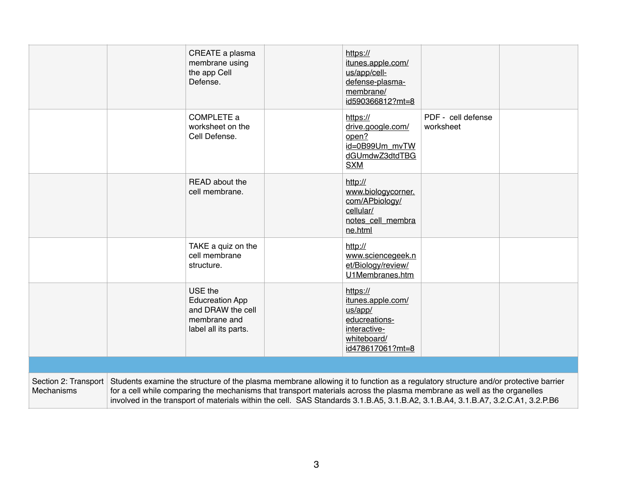|                                    | CREATE a plasma<br>membrane using<br>the app Cell<br>Defense.                                  | https://<br>itunes.apple.com/<br>us/app/cell-<br>defense-plasma-<br>membrane/<br>id590366812?mt=8            |                                                                                                                                                                                                                                                                                                                                                                                                  |  |
|------------------------------------|------------------------------------------------------------------------------------------------|--------------------------------------------------------------------------------------------------------------|--------------------------------------------------------------------------------------------------------------------------------------------------------------------------------------------------------------------------------------------------------------------------------------------------------------------------------------------------------------------------------------------------|--|
|                                    | COMPLETE a<br>worksheet on the<br>Cell Defense.                                                | https://<br>drive.google.com/<br>open?<br>id=0B99Um mvTW<br>dGUmdwZ3dtdTBG<br><b>SXM</b>                     | PDF - cell defense<br>worksheet                                                                                                                                                                                                                                                                                                                                                                  |  |
|                                    | READ about the<br>cell membrane.                                                               | http://<br>www.biologycorner.<br>com/APbiology/<br>cellular/<br>notes cell membra<br>ne.html                 |                                                                                                                                                                                                                                                                                                                                                                                                  |  |
|                                    | TAKE a quiz on the<br>cell membrane<br>structure.                                              | http://<br>www.sciencegeek.n<br>et/Biology/review/<br>U1Membranes.htm                                        |                                                                                                                                                                                                                                                                                                                                                                                                  |  |
|                                    | USE the<br><b>Educreation App</b><br>and DRAW the cell<br>membrane and<br>label all its parts. | https://<br>itunes.apple.com/<br>us/app/<br>educreations-<br>interactive-<br>whiteboard/<br>id478617061?mt=8 |                                                                                                                                                                                                                                                                                                                                                                                                  |  |
|                                    |                                                                                                |                                                                                                              |                                                                                                                                                                                                                                                                                                                                                                                                  |  |
| Section 2: Transport<br>Mechanisms |                                                                                                |                                                                                                              | Students examine the structure of the plasma membrane allowing it to function as a regulatory structure and/or protective barrier<br>for a cell while comparing the mechanisms that transport materials across the plasma membrane as well as the organelles<br>involved in the transport of materials within the cell. SAS Standards 3.1.B.A5, 3.1.B.A2, 3.1.B.A4, 3.1.B.A7, 3.2.C.A1, 3.2.P.B6 |  |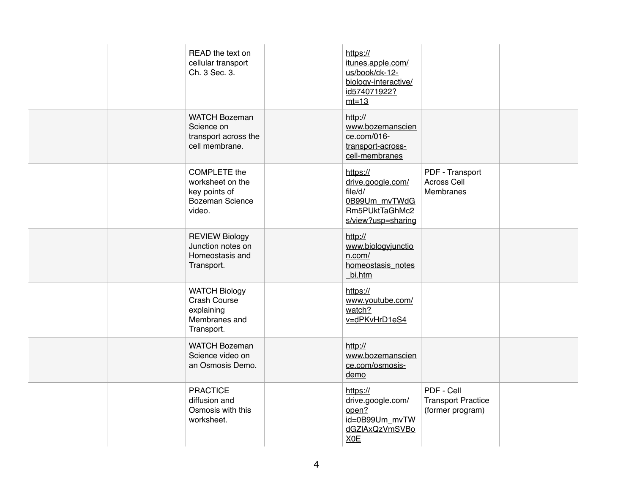| READ the text on<br>cellular transport<br>Ch. 3 Sec. 3.                               | https://<br>itunes.apple.com/<br>us/book/ck-12-<br>biology-interactive/<br>id574071922?<br>$mt=13$ |                                                             |  |
|---------------------------------------------------------------------------------------|----------------------------------------------------------------------------------------------------|-------------------------------------------------------------|--|
| <b>WATCH Bozeman</b><br>Science on<br>transport across the<br>cell membrane.          | http://<br>www.bozemanscien<br>ce.com/016-<br>transport-across-<br>cell-membranes                  |                                                             |  |
| COMPLETE the<br>worksheet on the<br>key points of<br><b>Bozeman Science</b><br>video. | https://<br>drive.google.com/<br>file/d/<br>0B99Um mvTWdG<br>Rm5PUktTaGhMc2<br>s/view?usp=sharing  | PDF - Transport<br>Across Cell<br><b>Membranes</b>          |  |
| <b>REVIEW Biology</b><br>Junction notes on<br>Homeostasis and<br>Transport.           | http://<br>www.biologyjunctio<br>n.com/<br>homeostasis notes<br>bi.htm                             |                                                             |  |
| <b>WATCH Biology</b><br>Crash Course<br>explaining<br>Membranes and<br>Transport.     | https://<br>www.youtube.com/<br>watch?<br>v=dPKvHrD1eS4                                            |                                                             |  |
| <b>WATCH Bozeman</b><br>Science video on<br>an Osmosis Demo.                          | http://<br>www.bozemanscien<br>ce.com/osmosis-<br>demo                                             |                                                             |  |
| <b>PRACTICE</b><br>diffusion and<br>Osmosis with this<br>worksheet.                   | https://<br>drive.google.com/<br>open?<br>id=0B99Um_mvTW<br>dGZIAxQzVmSVBo<br>X <sub>OE</sub>      | PDF - Cell<br><b>Transport Practice</b><br>(former program) |  |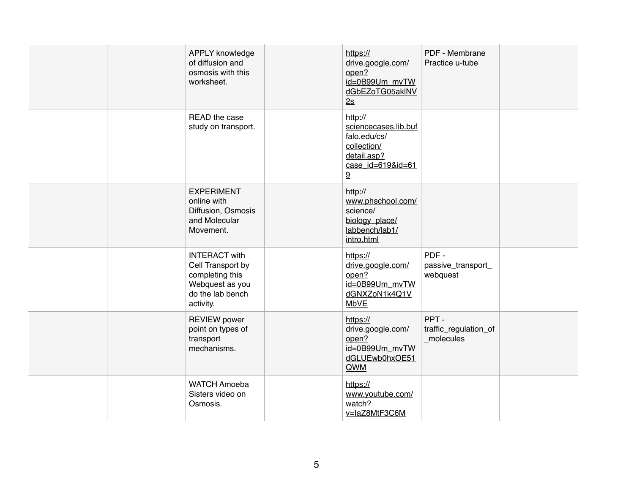| <b>APPLY knowledge</b><br>of diffusion and<br>osmosis with this<br>worksheet.                                    | https://<br>drive.google.com/<br>open?<br>id=0B99Um_mvTW<br>dGbEZoTG05aklNV<br>2s                       | PDF - Membrane<br>Practice u-tube          |  |
|------------------------------------------------------------------------------------------------------------------|---------------------------------------------------------------------------------------------------------|--------------------------------------------|--|
| READ the case<br>study on transport.                                                                             | http://<br>sciencecases.lib.buf<br>falo.edu/cs/<br>collection/<br>detail.asp?<br>case id=619&id=61<br>9 |                                            |  |
| <b>EXPERIMENT</b><br>online with<br>Diffusion, Osmosis<br>and Molecular<br>Movement.                             | http://<br>www.phschool.com/<br>science/<br>biology_place/<br>labbench/lab1/<br>intro.html              |                                            |  |
| <b>INTERACT with</b><br>Cell Transport by<br>completing this<br>Webquest as you<br>do the lab bench<br>activity. | https://<br>drive.google.com/<br>open?<br>id=0B99Um mvTW<br>dGNXZoN1k4Q1V<br>MbVE                       | PDF-<br>passive_transport_<br>webquest     |  |
| <b>REVIEW</b> power<br>point on types of<br>transport<br>mechanisms.                                             | https://<br>drive.google.com/<br>open?<br>id=0B99Um_mvTW<br>dGLUEwb0hxOE51<br>QWM                       | PPT-<br>traffic_regulation_of<br>molecules |  |
| <b>WATCH Amoeba</b><br>Sisters video on<br>Osmosis.                                                              | https://<br>www.youtube.com/<br>watch?<br>v=laZ8MtF3C6M                                                 |                                            |  |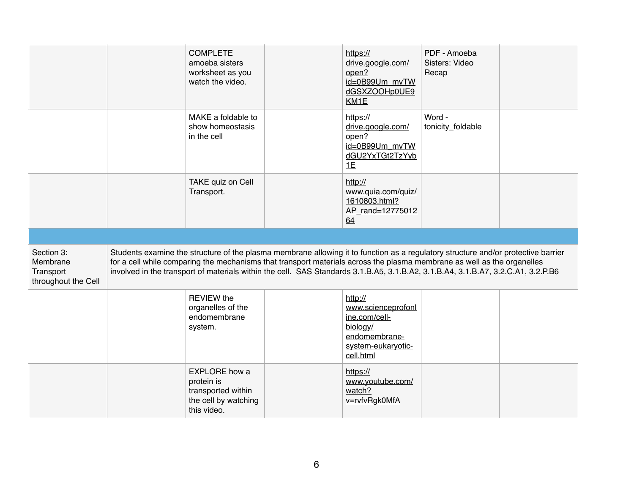|                                     | <b>COMPLETE</b><br>amoeba sisters<br>worksheet as you<br>watch the video. | https://<br>drive.google.com/<br>open?<br>id=0B99Um mvTW<br>dGSXZOOHp0UE9<br>KM1E                                                                                                                                                                            | PDF - Amoeba<br>Sisters: Video<br>Recap |  |
|-------------------------------------|---------------------------------------------------------------------------|--------------------------------------------------------------------------------------------------------------------------------------------------------------------------------------------------------------------------------------------------------------|-----------------------------------------|--|
|                                     | MAKE a foldable to<br>show homeostasis<br>in the cell                     | https://<br>drive.google.com/<br>open?<br>id=0B99Um_mvTW<br>dGU2YxTGt2TzYyb<br>1E                                                                                                                                                                            | Word -<br>tonicity_foldable             |  |
|                                     | TAKE quiz on Cell<br>Transport.                                           | http://<br>www.quia.com/quiz/<br>1610803.html?<br>AP rand=12775012<br>64                                                                                                                                                                                     |                                         |  |
|                                     |                                                                           |                                                                                                                                                                                                                                                              |                                         |  |
| Section 3:<br>Membrane<br>Transport |                                                                           | Students examine the structure of the plasma membrane allowing it to function as a regulatory structure and/or protective barrier<br>for a cell while comparing the mechanisms that transport materials across the plasma membrane as well as the organelles |                                         |  |
| throughout the Cell                 |                                                                           | involved in the transport of materials within the cell. SAS Standards 3.1.B.A5, 3.1.B.A2, 3.1.B.A4, 3.1.B.A7, 3.2.C.A1, 3.2.P.B6                                                                                                                             |                                         |  |
|                                     | <b>REVIEW the</b><br>organelles of the<br>endomembrane<br>system.         | http://<br>www.scienceprofonl<br>ine.com/cell-<br>biology/<br>endomembrane-<br>system-eukaryotic-<br>cell.html                                                                                                                                               |                                         |  |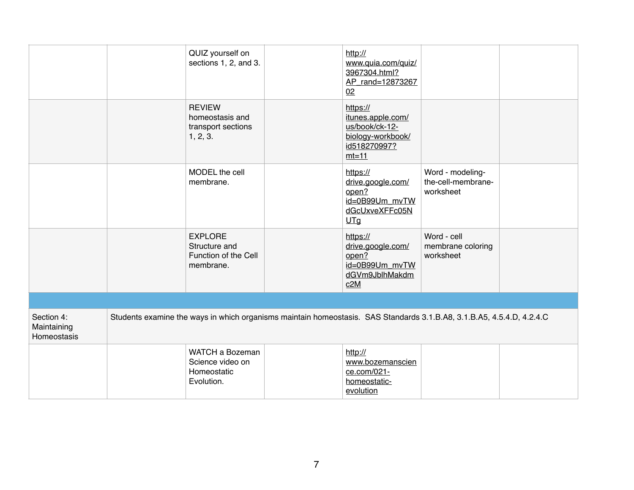|                                          | QUIZ yourself on<br>sections 1, 2, and 3.                                                                             | http://<br>www.quia.com/quiz/<br>3967304.html?<br>AP_rand=12873267<br>02                        |                                                     |  |
|------------------------------------------|-----------------------------------------------------------------------------------------------------------------------|-------------------------------------------------------------------------------------------------|-----------------------------------------------------|--|
|                                          | <b>REVIEW</b><br>homeostasis and<br>transport sections<br>1, 2, 3.                                                    | https://<br>itunes.apple.com/<br>us/book/ck-12-<br>biology-workbook/<br>id518270997?<br>$mt=11$ |                                                     |  |
|                                          | MODEL the cell<br>membrane.                                                                                           | https://<br>drive.google.com/<br>open?<br>id=0B99Um_mvTW<br>dGcUxveXFFc05N<br>UTg               | Word - modeling-<br>the-cell-membrane-<br>worksheet |  |
|                                          | <b>EXPLORE</b><br>Structure and<br>Function of the Cell<br>membrane.                                                  | https://<br>drive.google.com/<br>open?<br>id=0B99Um mvTW<br>dGVm9JblhMakdm<br>c2M               | Word - cell<br>membrane coloring<br>worksheet       |  |
|                                          |                                                                                                                       |                                                                                                 |                                                     |  |
| Section 4:<br>Maintaining<br>Homeostasis | Students examine the ways in which organisms maintain homeostasis. SAS Standards 3.1.B.A8, 3.1.B.A5, 4.5.4.D, 4.2.4.C |                                                                                                 |                                                     |  |
|                                          | WATCH a Bozeman<br>Science video on<br>Homeostatic<br>Evolution.                                                      | http://<br>www.bozemanscien<br>ce.com/021-<br>homeostatic-<br>evolution                         |                                                     |  |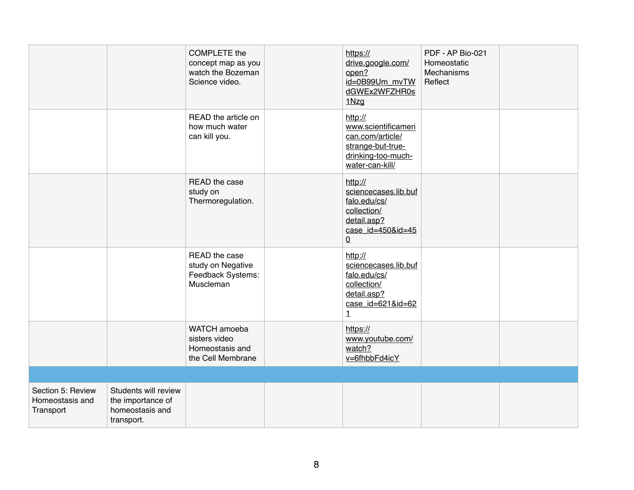|                                                   |                                                                            | <b>COMPLETE</b> the<br>concept map as you<br>watch the Bozeman<br>Science video. | https://<br>drive.google.com/<br>open?<br>id=0B99Um_mvTW<br>dGWEx2WFZHR0s<br>1Nzg                                        | PDF - AP Bio-021<br>Homeostatic<br>Mechanisms<br>Reflect |  |
|---------------------------------------------------|----------------------------------------------------------------------------|----------------------------------------------------------------------------------|--------------------------------------------------------------------------------------------------------------------------|----------------------------------------------------------|--|
|                                                   |                                                                            | READ the article on<br>how much water<br>can kill you.                           | http://<br>www.scientificameri<br>can.com/article/<br>strange-but-true-<br>drinking-too-much-<br>water-can-kill/         |                                                          |  |
|                                                   |                                                                            | READ the case<br>study on<br>Thermoregulation.                                   | http://<br>sciencecases.lib.buf<br>falo.edu/cs/<br>collection/<br>detail.asp?<br>case_id=450&id=45<br>$\Omega$           |                                                          |  |
|                                                   |                                                                            | READ the case<br>study on Negative<br>Feedback Systems:<br>Muscleman             | http://<br>sciencecases.lib.buf<br>falo.edu/cs/<br>collection/<br>detail.asp?<br>case $id = 6218id = 62$<br>$\mathbf{1}$ |                                                          |  |
|                                                   |                                                                            | WATCH amoeba<br>sisters video<br>Homeostasis and<br>the Cell Membrane            | https://<br>www.youtube.com/<br>watch?<br>v=6fhbbFd4icY                                                                  |                                                          |  |
|                                                   |                                                                            |                                                                                  |                                                                                                                          |                                                          |  |
| Section 5: Review<br>Homeostasis and<br>Transport | Students will review<br>the importance of<br>homeostasis and<br>transport. |                                                                                  |                                                                                                                          |                                                          |  |